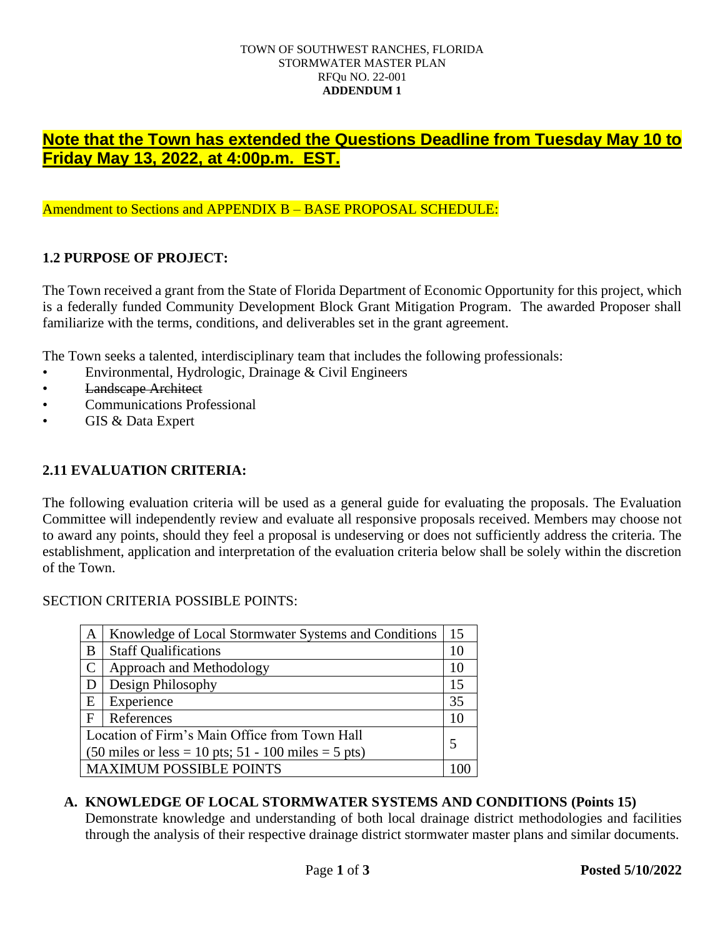#### TOWN OF SOUTHWEST RANCHES, FLORIDA STORMWATER MASTER PLAN RFQu NO. 22-001 **ADDENDUM 1**

# **Note that the Town has extended the Questions Deadline from Tuesday May 10 to Friday May 13, 2022, at 4:00p.m. EST.**

### Amendment to Sections and APPENDIX B – BASE PROPOSAL SCHEDULE:

# **1.2 PURPOSE OF PROJECT:**

The Town received a grant from the State of Florida Department of Economic Opportunity for this project, which is a federally funded Community Development Block Grant Mitigation Program. The awarded Proposer shall familiarize with the terms, conditions, and deliverables set in the grant agreement.

The Town seeks a talented, interdisciplinary team that includes the following professionals:

- Environmental, Hydrologic, Drainage & Civil Engineers
- Landscape Architect
- Communications Professional
- GIS & Data Expert

### **2.11 EVALUATION CRITERIA:**

The following evaluation criteria will be used as a general guide for evaluating the proposals. The Evaluation Committee will independently review and evaluate all responsive proposals received. Members may choose not to award any points, should they feel a proposal is undeserving or does not sufficiently address the criteria. The establishment, application and interpretation of the evaluation criteria below shall be solely within the discretion of the Town.

#### SECTION CRITERIA POSSIBLE POINTS:

| $\mathbf{A}$                                                                          | Knowledge of Local Stormwater Systems and Conditions | 15 |
|---------------------------------------------------------------------------------------|------------------------------------------------------|----|
| B                                                                                     | <b>Staff Qualifications</b>                          | 10 |
| $\mathbf C$                                                                           | Approach and Methodology                             | 10 |
| D                                                                                     | Design Philosophy                                    | 15 |
| Ε                                                                                     | Experience                                           | 35 |
| $\mathbf F$                                                                           | References                                           | 10 |
| Location of Firm's Main Office from Town Hall                                         |                                                      | 5  |
| $(50 \text{ miles or less} = 10 \text{ pts}; 51 - 100 \text{ miles} = 5 \text{ pts})$ |                                                      |    |
| <b>MAXIMUM POSSIBLE POINTS</b>                                                        |                                                      |    |

#### **A. KNOWLEDGE OF LOCAL STORMWATER SYSTEMS AND CONDITIONS (Points 15)**

Demonstrate knowledge and understanding of both local drainage district methodologies and facilities through the analysis of their respective drainage district stormwater master plans and similar documents.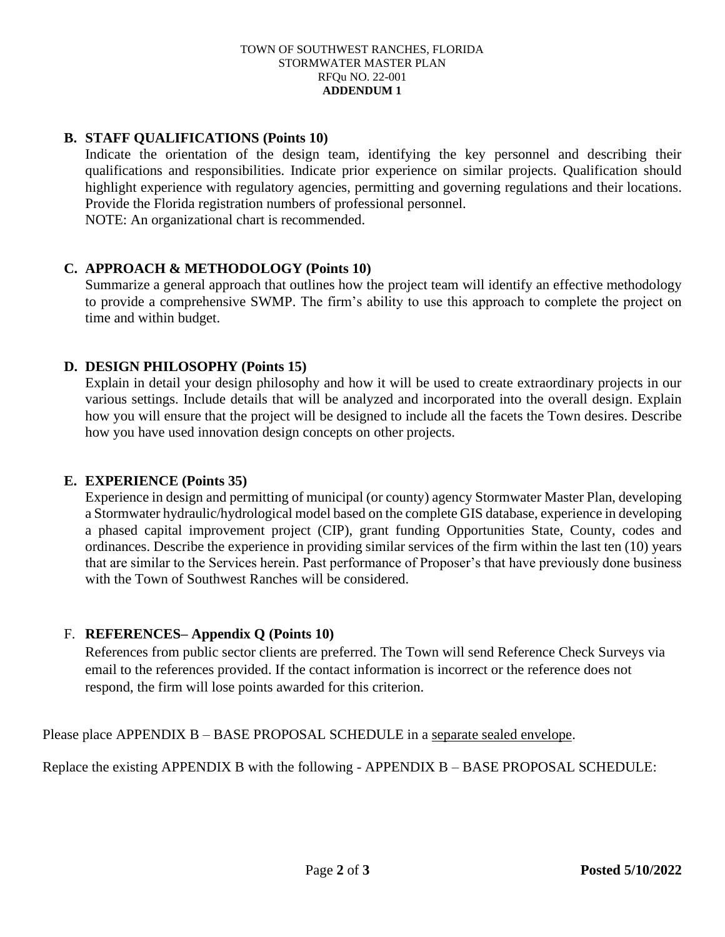#### TOWN OF SOUTHWEST RANCHES, FLORIDA STORMWATER MASTER PLAN RFQu NO. 22-001 **ADDENDUM 1**

# **B. STAFF QUALIFICATIONS (Points 10)**

Indicate the orientation of the design team, identifying the key personnel and describing their qualifications and responsibilities. Indicate prior experience on similar projects. Qualification should highlight experience with regulatory agencies, permitting and governing regulations and their locations. Provide the Florida registration numbers of professional personnel. NOTE: An organizational chart is recommended.

# **C. APPROACH & METHODOLOGY (Points 10)**

Summarize a general approach that outlines how the project team will identify an effective methodology to provide a comprehensive SWMP. The firm's ability to use this approach to complete the project on time and within budget.

# **D. DESIGN PHILOSOPHY (Points 15)**

Explain in detail your design philosophy and how it will be used to create extraordinary projects in our various settings. Include details that will be analyzed and incorporated into the overall design. Explain how you will ensure that the project will be designed to include all the facets the Town desires. Describe how you have used innovation design concepts on other projects.

#### **E. EXPERIENCE (Points 35)**

Experience in design and permitting of municipal (or county) agency Stormwater Master Plan, developing a Stormwater hydraulic/hydrological model based on the complete GIS database, experience in developing a phased capital improvement project (CIP), grant funding Opportunities State, County, codes and ordinances. Describe the experience in providing similar services of the firm within the last ten (10) years that are similar to the Services herein. Past performance of Proposer's that have previously done business with the Town of Southwest Ranches will be considered.

#### F. **REFERENCES– Appendix Q (Points 10)**

References from public sector clients are preferred. The Town will send Reference Check Surveys via email to the references provided. If the contact information is incorrect or the reference does not respond, the firm will lose points awarded for this criterion.

Please place APPENDIX B – BASE PROPOSAL SCHEDULE in a separate sealed envelope.

Replace the existing APPENDIX B with the following - APPENDIX B – BASE PROPOSAL SCHEDULE: